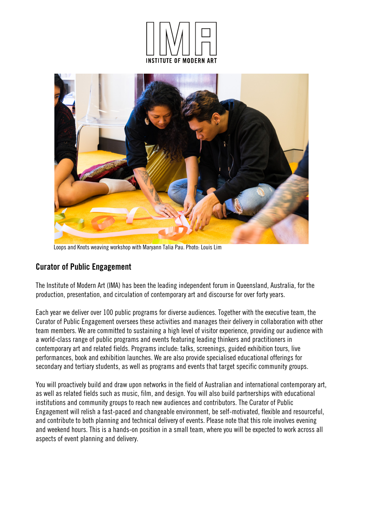



Loops and Knots weaving workshop with Maryann Talia Pau. Photo: Louis Lim

# Curator of Public Engagement

The Institute of Modern Art (IMA) has been the leading independent forum in Queensland, Australia, for the production, presentation, and circulation of contemporary art and discourse for over forty years.

Each year we deliver over 100 public programs for diverse audiences. Together with the executive team, the Curator of Public Engagement oversees these activities and manages their delivery in collaboration with other team members. We are committed to sustaining a high level of visitor experience, providing our audience with a world-class range of public programs and events featuring leading thinkers and practitioners in contemporary art and related fields. Programs include: talks, screenings, guided exhibition tours, live performances, book and exhibition launches. We are also provide specialised educational offerings for secondary and tertiary students, as well as programs and events that target specific community groups.

You will proactively build and draw upon networks in the field of Australian and international contemporary art, as well as related fields such as music, film, and design. You will also build partnerships with educational institutions and community groups to reach new audiences and contributors. The Curator of Public Engagement will relish a fast-paced and changeable environment, be self-motivated, flexible and resourceful, and contribute to both planning and technical delivery of events. Please note that this role involves evening and weekend hours. This is a hands-on position in a small team, where you will be expected to work across all aspects of event planning and delivery.